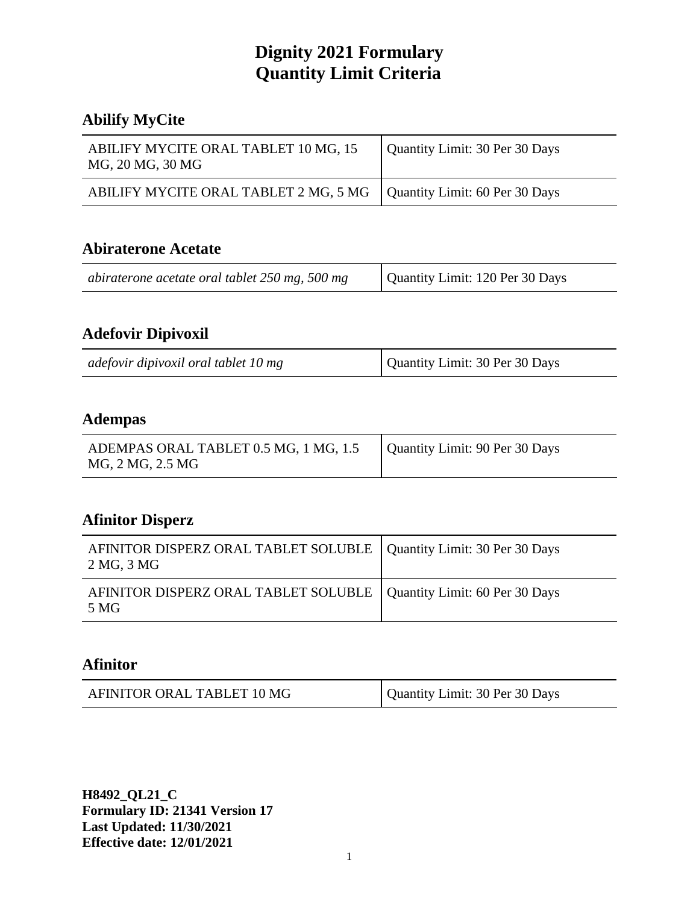#### **Abilify MyCite**

| ABILIFY MYCITE ORAL TABLET 10 MG, 15<br>MG, 20 MG, 30 MG               | Quantity Limit: 30 Per 30 Days |
|------------------------------------------------------------------------|--------------------------------|
| ABILIFY MYCITE ORAL TABLET 2 MG, 5 MG   Quantity Limit: 60 Per 30 Days |                                |

#### **Abiraterone Acetate**

| Quantity Limit: 120 Per 30 Days<br>abiraterone acetate oral tablet 250 mg, 500 mg |
|-----------------------------------------------------------------------------------|
|-----------------------------------------------------------------------------------|

# **Adefovir Dipivoxil**

| adefovir dipivoxil oral tablet 10 mg | Quantity Limit: 30 Per 30 Days |
|--------------------------------------|--------------------------------|
|--------------------------------------|--------------------------------|

#### **Adempas**

#### **Afinitor Disperz**

| AFINITOR DISPERZ ORAL TABLET SOLUBLE   Quantity Limit: 30 Per 30 Days<br>2 MG, 3 MG |  |
|-------------------------------------------------------------------------------------|--|
| AFINITOR DISPERZ ORAL TABLET SOLUBLE   Quantity Limit: 60 Per 30 Days<br>.5 MG      |  |

#### **Afinitor**

| AFINITOR ORAL TABLET 10 MG | Quantity Limit: 30 Per 30 Days |
|----------------------------|--------------------------------|
|----------------------------|--------------------------------|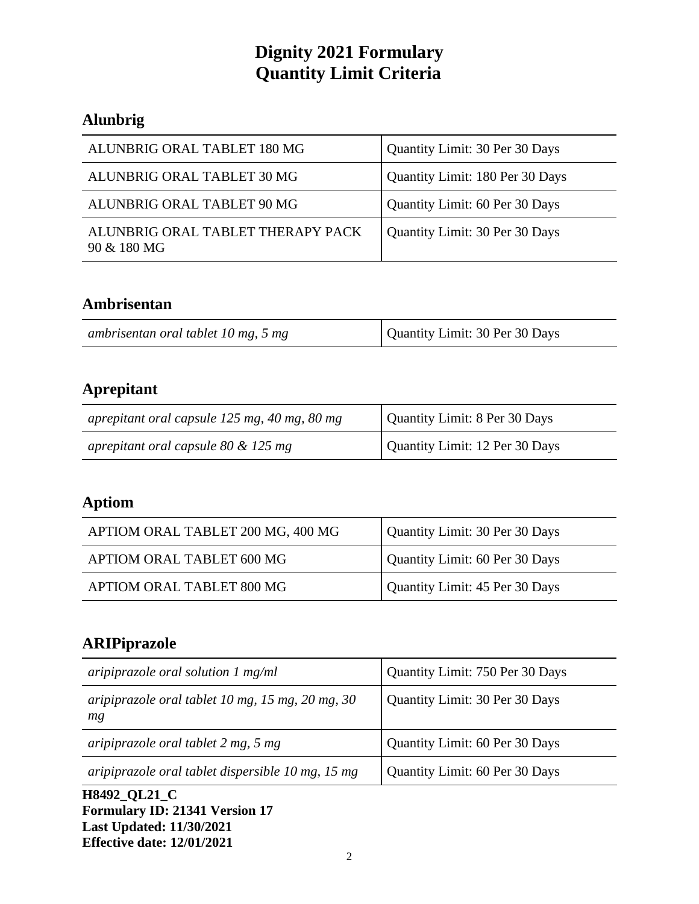# **Alunbrig**

| ALUNBRIG ORAL TABLET 180 MG                      | Quantity Limit: 30 Per 30 Days  |
|--------------------------------------------------|---------------------------------|
| ALUNBRIG ORAL TABLET 30 MG                       | Quantity Limit: 180 Per 30 Days |
| ALUNBRIG ORAL TABLET 90 MG                       | Quantity Limit: 60 Per 30 Days  |
| ALUNBRIG ORAL TABLET THERAPY PACK<br>90 & 180 MG | Quantity Limit: 30 Per 30 Days  |

## **Ambrisentan**

| ambrisentan oral tablet 10 mg, 5 mg | Quantity Limit: 30 Per 30 Days |
|-------------------------------------|--------------------------------|
|-------------------------------------|--------------------------------|

# **Aprepitant**

| aprepitant oral capsule 125 mg, 40 mg, 80 mg | Quantity Limit: 8 Per 30 Days  |
|----------------------------------------------|--------------------------------|
| aprepitant oral capsule $80 \& 125$ mg       | Quantity Limit: 12 Per 30 Days |

# **Aptiom**

| APTIOM ORAL TABLET 200 MG, 400 MG | Quantity Limit: 30 Per 30 Days |
|-----------------------------------|--------------------------------|
| APTIOM ORAL TABLET 600 MG         | Quantity Limit: 60 Per 30 Days |
| APTIOM ORAL TABLET 800 MG         | Quantity Limit: 45 Per 30 Days |

# **ARIPiprazole**

| aripiprazole oral solution $1 \text{ mg/ml}$           | Quantity Limit: 750 Per 30 Days |
|--------------------------------------------------------|---------------------------------|
| aripiprazole oral tablet 10 mg, 15 mg, 20 mg, 30<br>mg | Quantity Limit: 30 Per 30 Days  |
| aripiprazole oral tablet 2 mg, 5 mg                    | Quantity Limit: 60 Per 30 Days  |
| aripiprazole oral tablet dispersible 10 mg, 15 mg      | Quantity Limit: 60 Per 30 Days  |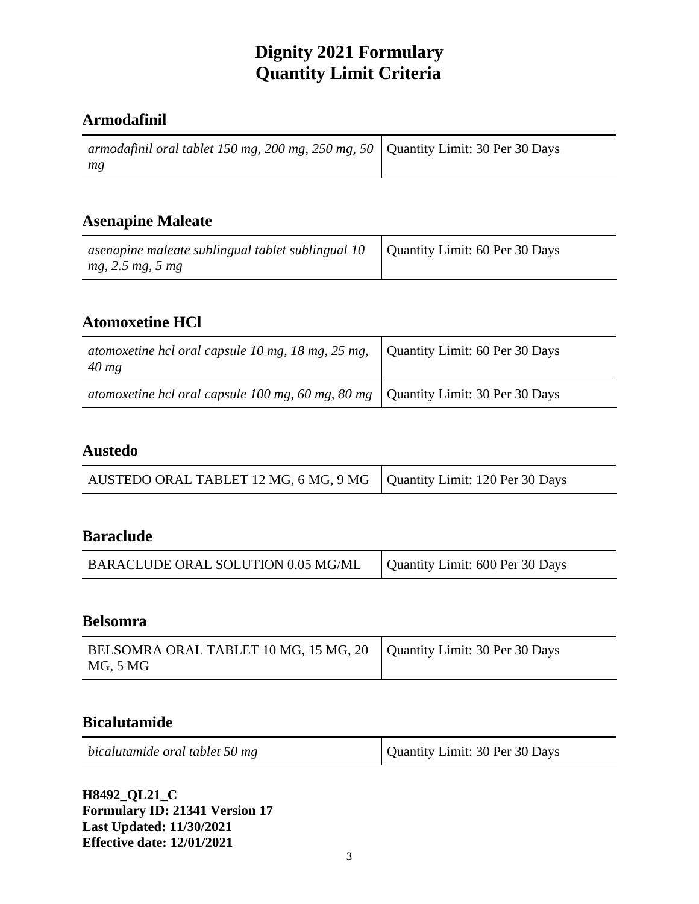#### **Armodafinil**

| armodafinil oral tablet 150 mg, 200 mg, 250 mg, 50   Quantity Limit: 30 Per 30 Days |  |
|-------------------------------------------------------------------------------------|--|
| mg                                                                                  |  |

#### **Asenapine Maleate**

| asenapine maleate sublingual tablet sublingual 10 | Quantity Limit: 60 Per 30 Days |
|---------------------------------------------------|--------------------------------|
| mg, 2.5 mg, 5 mg                                  |                                |

## **Atomoxetine HCl**

| atomoxetine hcl oral capsule 10 mg, 18 mg, 25 mg, $\vert$ Quantity Limit: 60 Per 30 Days<br>$40$ mg |  |
|-----------------------------------------------------------------------------------------------------|--|
| atomoxetine hcl oral capsule 100 mg, 60 mg, 80 mg $\vert$ Quantity Limit: 30 Per 30 Days            |  |

## **Austedo**

| AUSTEDO ORAL TABLET 12 MG, 6 MG, 9 MG   Quantity Limit: 120 Per 30 Days |  |
|-------------------------------------------------------------------------|--|

# **Baraclude**

| BARACLUDE ORAL SOLUTION 0.05 MG/ML | Quantity Limit: 600 Per 30 Days |
|------------------------------------|---------------------------------|
|------------------------------------|---------------------------------|

#### **Belsomra**

| BELSOMRA ORAL TABLET 10 MG, 15 MG, 20   Quantity Limit: 30 Per 30 Days<br>MG, 5 MG |  |
|------------------------------------------------------------------------------------|--|
|------------------------------------------------------------------------------------|--|

#### **Bicalutamide**

| bicalutamide oral tablet 50 mg | Quantity Limit: 30 Per 30 Days |
|--------------------------------|--------------------------------|
|--------------------------------|--------------------------------|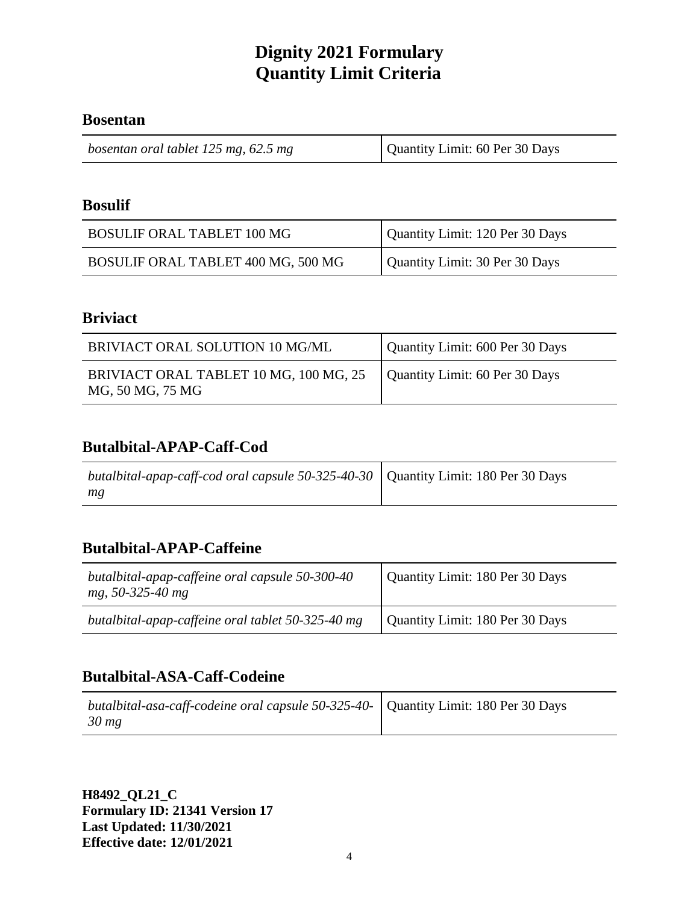#### **Bosentan**

| bosentan oral tablet 125 mg, 62.5 mg | Quantity Limit: 60 Per 30 Days |
|--------------------------------------|--------------------------------|
|--------------------------------------|--------------------------------|

#### **Bosulif**

| <b>BOSULIF ORAL TABLET 100 MG</b>  | Quantity Limit: 120 Per 30 Days |
|------------------------------------|---------------------------------|
| BOSULIF ORAL TABLET 400 MG, 500 MG | Quantity Limit: 30 Per 30 Days  |

#### **Briviact**

| BRIVIACT ORAL SOLUTION 10 MG/ML                            | Quantity Limit: 600 Per 30 Days |
|------------------------------------------------------------|---------------------------------|
| BRIVIACT ORAL TABLET 10 MG, 100 MG, 25<br>MG, 50 MG, 75 MG | Quantity Limit: 60 Per 30 Days  |

## **Butalbital-APAP-Caff-Cod**

| butalbital-apap-caff-cod oral capsule 50-325-40-30   Quantity Limit: 180 Per 30 Days |  |
|--------------------------------------------------------------------------------------|--|
| mg                                                                                   |  |

#### **Butalbital-APAP-Caffeine**

| butalbital-apap-caffeine oral capsule 50-300-40<br>mg, 50-325-40 mg | Quantity Limit: 180 Per 30 Days |
|---------------------------------------------------------------------|---------------------------------|
| butalbital-apap-caffeine oral tablet 50-325-40 mg                   | Quantity Limit: 180 Per 30 Days |

## **Butalbital-ASA-Caff-Codeine**

| butalbital-asa-caff-codeine oral capsule 50-325-40- Quantity Limit: 180 Per 30 Days |  |
|-------------------------------------------------------------------------------------|--|
| $30 \, mg$                                                                          |  |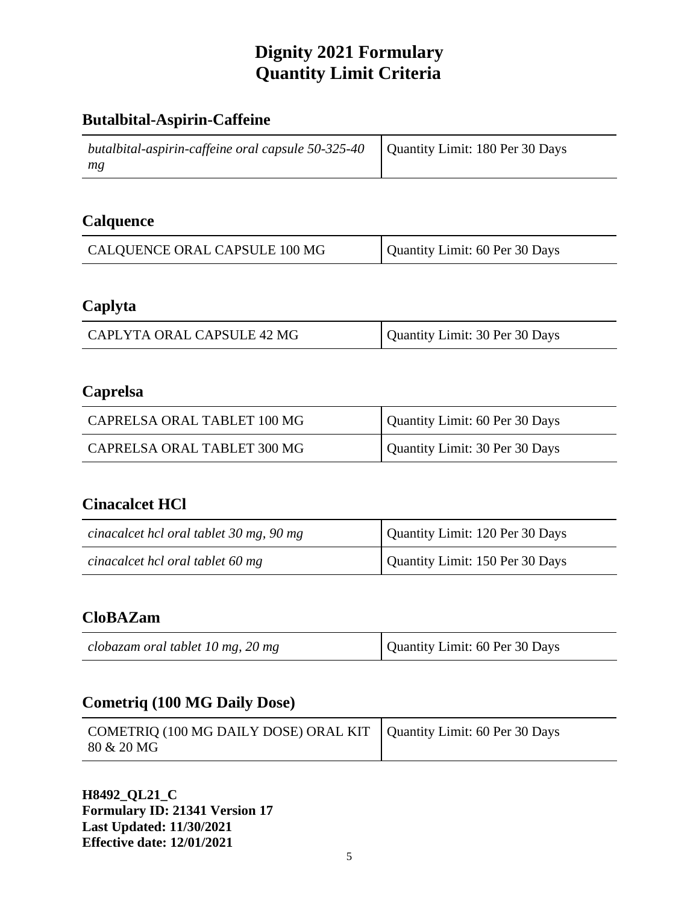## **Butalbital-Aspirin-Caffeine**

| butalbital-aspirin-caffeine oral capsule 50-325-40   Quantity Limit: 180 Per 30 Days |  |
|--------------------------------------------------------------------------------------|--|
| mg                                                                                   |  |

#### **Calquence**

| CALQUENCE ORAL CAPSULE 100 MG | Quantity Limit: 60 Per 30 Days |
|-------------------------------|--------------------------------|
|-------------------------------|--------------------------------|

## **Caplyta**

| Quantity Limit: 30 Per 30 Days<br>CAPLYTA ORAL CAPSULE 42 MG |
|--------------------------------------------------------------|
|--------------------------------------------------------------|

## **Caprelsa**

| CAPRELSA ORAL TABLET 100 MG | Quantity Limit: 60 Per 30 Days |
|-----------------------------|--------------------------------|
| CAPRELSA ORAL TABLET 300 MG | Quantity Limit: 30 Per 30 Days |

## **Cinacalcet HCl**

| cinacalcet hcl oral tablet 30 mg, 90 mg | Quantity Limit: 120 Per 30 Days |
|-----------------------------------------|---------------------------------|
| cinacalcet hcl oral tablet 60 mg        | Quantity Limit: 150 Per 30 Days |

# **CloBAZam**

| Quantity Limit: 60 Per 30 Days<br>clobazam oral tablet 10 mg, 20 mg |
|---------------------------------------------------------------------|
|---------------------------------------------------------------------|

#### **Cometriq (100 MG Daily Dose)**

| COMETRIQ (100 MG DAILY DOSE) ORAL KIT   Quantity Limit: 60 Per 30 Days<br>80 & 20 MG |  |
|--------------------------------------------------------------------------------------|--|
|--------------------------------------------------------------------------------------|--|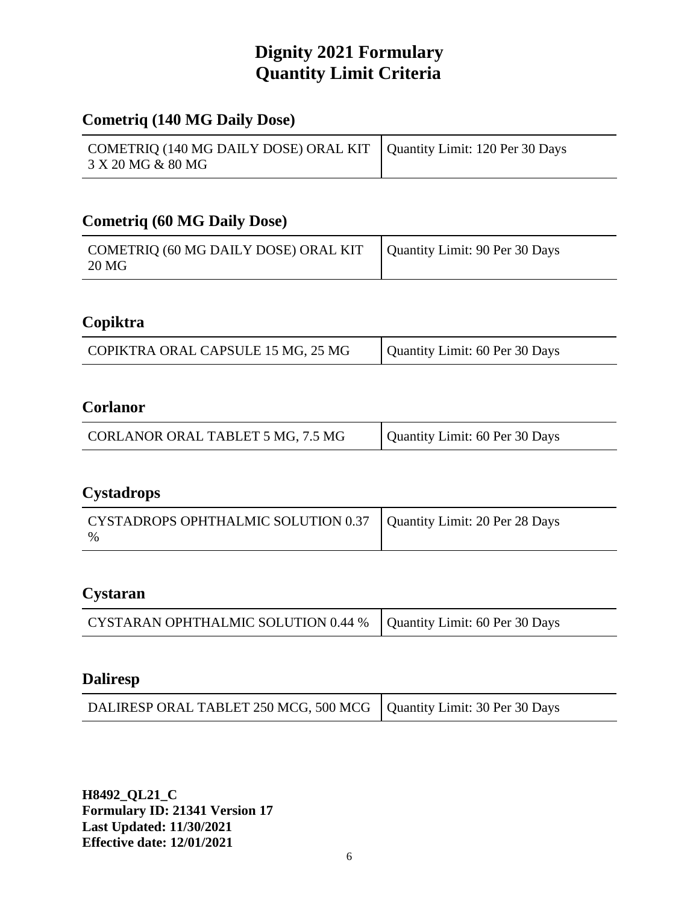#### **Cometriq (140 MG Daily Dose)**

| COMETRIQ (140 MG DAILY DOSE) ORAL KIT   Quantity Limit: 120 Per 30 Days |  |
|-------------------------------------------------------------------------|--|
| 3 X 20 MG & 80 MG                                                       |  |

#### **Cometriq (60 MG Daily Dose)**

| COMETRIQ (60 MG DAILY DOSE) ORAL KIT   Quantity Limit: 90 Per 30 Days<br>20 MG |  |
|--------------------------------------------------------------------------------|--|
|--------------------------------------------------------------------------------|--|

## **Copiktra**

| COPIKTRA ORAL CAPSULE 15 MG, 25 MG | Quantity Limit: 60 Per 30 Days |
|------------------------------------|--------------------------------|
|------------------------------------|--------------------------------|

## **Corlanor**

# **Cystadrops**

| CYSTADROPS OPHTHALMIC SOLUTION 0.37   Quantity Limit: 20 Per 28 Days |  |
|----------------------------------------------------------------------|--|
| $\frac{0}{0}$                                                        |  |

#### **Cystaran**

| CYSTARAN OPHTHALMIC SOLUTION 0.44 %   Quantity Limit: 60 Per 30 Days |  |
|----------------------------------------------------------------------|--|
|----------------------------------------------------------------------|--|

#### **Daliresp**

| DALIRESP ORAL TABLET 250 MCG, 500 MCG   Quantity Limit: 30 Per 30 Days |  |
|------------------------------------------------------------------------|--|
|------------------------------------------------------------------------|--|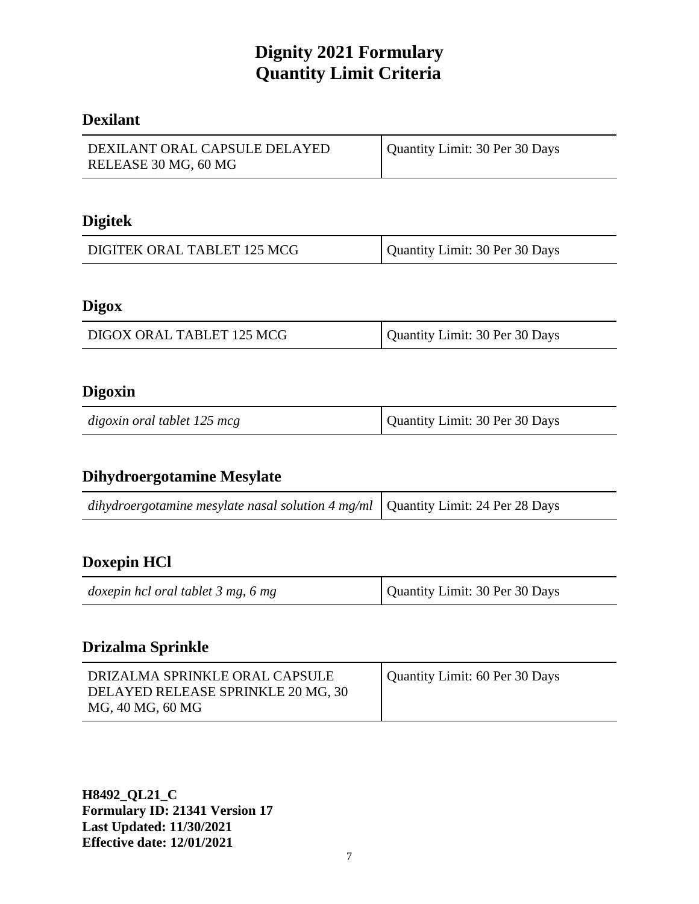#### **Dexilant**

| DEXILANT ORAL CAPSULE DELAYED<br>RELEASE 30 MG, 60 MG | Quantity Limit: 30 Per 30 Days |
|-------------------------------------------------------|--------------------------------|
|                                                       |                                |

# **Digitek**

| DIGITEK ORAL TABLET 125 MCG | Quantity Limit: 30 Per 30 Days |
|-----------------------------|--------------------------------|
|-----------------------------|--------------------------------|

#### **Digox**

| DIGOX ORAL TABLET 125 MCG | Quantity Limit: 30 Per 30 Days |
|---------------------------|--------------------------------|
|                           |                                |

#### **Digoxin**

| digoxin oral tablet 125 mcg | Quantity Limit: 30 Per 30 Days |
|-----------------------------|--------------------------------|
|-----------------------------|--------------------------------|

#### **Dihydroergotamine Mesylate**

|--|

# **Doxepin HCl**

| Quantity Limit: 30 Per 30 Days<br>doxepin hcl oral tablet 3 mg, 6 mg |
|----------------------------------------------------------------------|
|----------------------------------------------------------------------|

## **Drizalma Sprinkle**

| DRIZALMA SPRINKLE ORAL CAPSULE<br>DELAYED RELEASE SPRINKLE 20 MG, 30<br>MG, 40 MG, 60 MG | Quantity Limit: 60 Per 30 Days |
|------------------------------------------------------------------------------------------|--------------------------------|
|------------------------------------------------------------------------------------------|--------------------------------|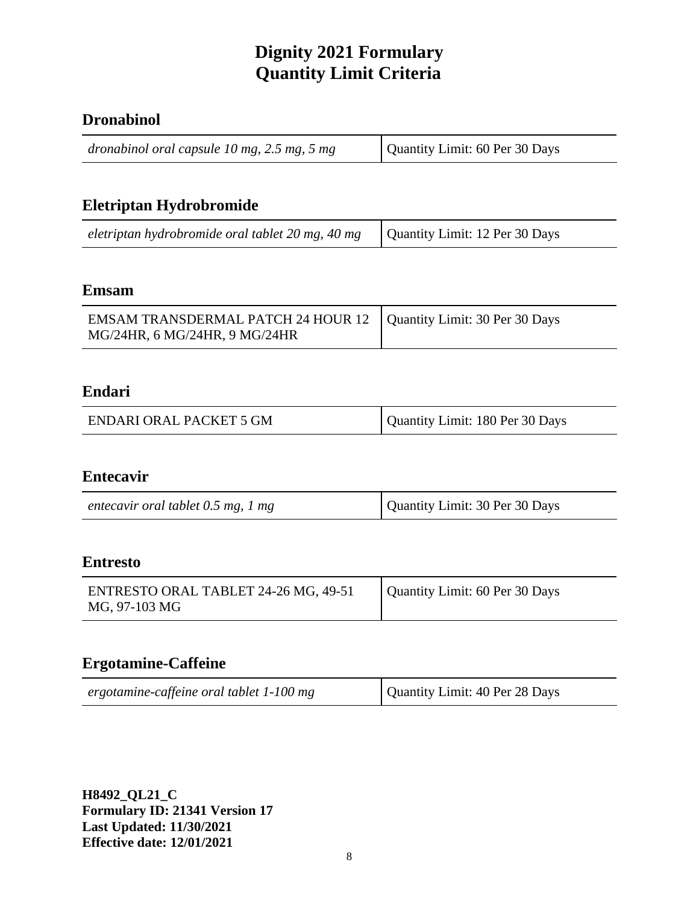#### **Dronabinol**

| dronabinol oral capsule $10$ mg, $2.5$ mg, $5$ mg | Quantity Limit: 60 Per 30 Days |
|---------------------------------------------------|--------------------------------|
|---------------------------------------------------|--------------------------------|

# **Eletriptan Hydrobromide**

| eletriptan hydrobromide oral tablet 20 mg, 40 mg   Quantity Limit: 12 Per 30 Days |  |
|-----------------------------------------------------------------------------------|--|
|-----------------------------------------------------------------------------------|--|

#### **Emsam**

| EMSAM TRANSDERMAL PATCH 24 HOUR 12   Quantity Limit: 30 Per 30 Days |  |
|---------------------------------------------------------------------|--|
| MG/24HR, 6 MG/24HR, 9 MG/24HR                                       |  |

#### **Endari**

| <b>ENDARI ORAL PACKET 5 GM</b> | Quantity Limit: 180 Per 30 Days |
|--------------------------------|---------------------------------|
|--------------------------------|---------------------------------|

#### **Entecavir**

| entecavir oral tablet 0.5 mg, 1 mg | Quantity Limit: 30 Per 30 Days |
|------------------------------------|--------------------------------|
|------------------------------------|--------------------------------|

#### **Entresto**

| ENTRESTO ORAL TABLET 24-26 MG, 49-51<br>MG, 97-103 MG | Quantity Limit: 60 Per 30 Days |
|-------------------------------------------------------|--------------------------------|
|-------------------------------------------------------|--------------------------------|

# **Ergotamine-Caffeine**

| ergotamine-caffeine oral tablet 1-100 mg | Quantity Limit: 40 Per 28 Days |
|------------------------------------------|--------------------------------|
|------------------------------------------|--------------------------------|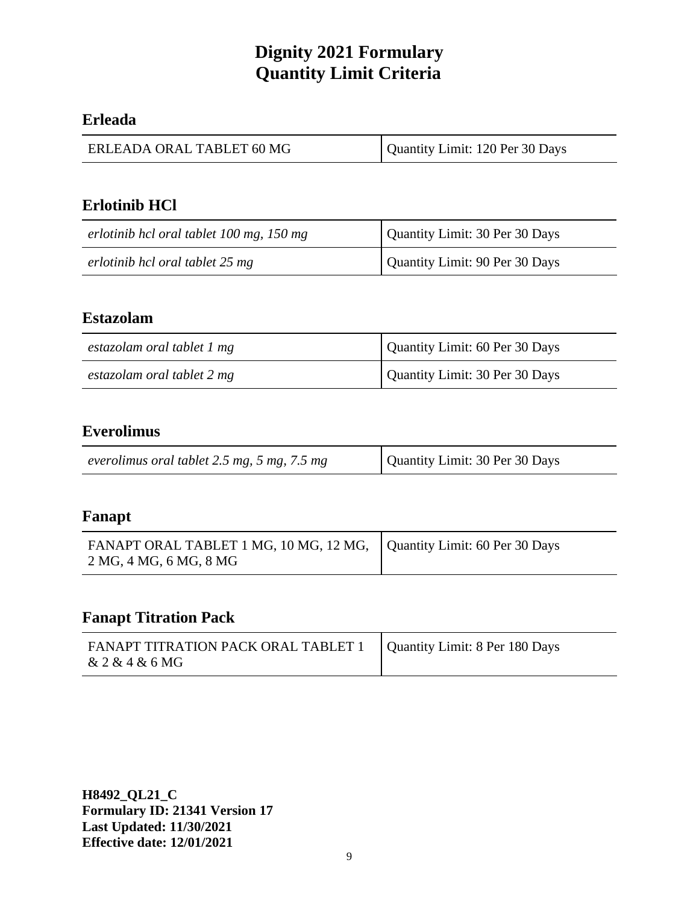#### **Erleada**

| ERLEADA ORAL TABLET 60 MG | Quantity Limit: 120 Per 30 Days |
|---------------------------|---------------------------------|
|---------------------------|---------------------------------|

## **Erlotinib HCl**

| erlotinib hcl oral tablet 100 mg, 150 mg | Quantity Limit: 30 Per 30 Days |
|------------------------------------------|--------------------------------|
| erlotinib hcl oral tablet 25 mg          | Quantity Limit: 90 Per 30 Days |

#### **Estazolam**

| estazolam oral tablet 1 mg | Quantity Limit: 60 Per 30 Days |
|----------------------------|--------------------------------|
| estazolam oral tablet 2 mg | Quantity Limit: 30 Per 30 Days |

## **Everolimus**

| everolimus oral tablet 2.5 mg, 5 mg, 7.5 mg | Quantity Limit: 30 Per 30 Days |
|---------------------------------------------|--------------------------------|
|---------------------------------------------|--------------------------------|

#### **Fanapt**

| FANAPT ORAL TABLET 1 MG, 10 MG, 12 MG, Quantity Limit: 60 Per 30 Days<br>2 MG, 4 MG, 6 MG, 8 MG |  |
|-------------------------------------------------------------------------------------------------|--|
|-------------------------------------------------------------------------------------------------|--|

## **Fanapt Titration Pack**

| FANAPT TITRATION PACK ORAL TABLET 1   Quantity Limit: 8 Per 180 Days<br>& 2 & 4 & 6 MG |  |
|----------------------------------------------------------------------------------------|--|
|----------------------------------------------------------------------------------------|--|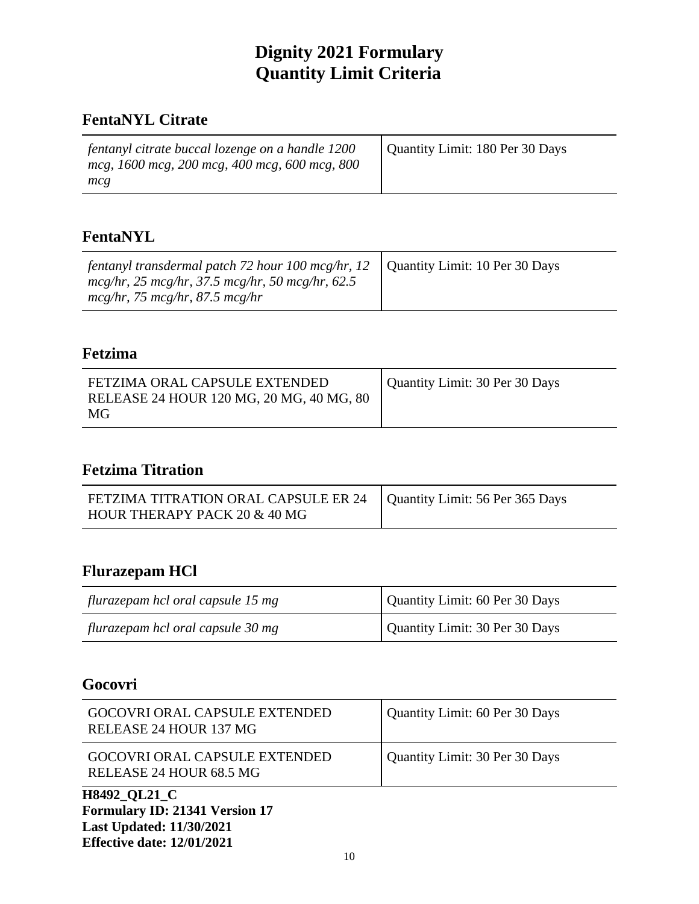## **FentaNYL Citrate**

| fentanyl citrate buccal lozenge on a handle 1200<br>mcg, 1600 mcg, 200 mcg, 400 mcg, 600 mcg, 800 | Quantity Limit: 180 Per 30 Days |
|---------------------------------------------------------------------------------------------------|---------------------------------|
| mcg                                                                                               |                                 |

## **FentaNYL**

| fentanyl transdermal patch 72 hour 100 mcg/hr, 12 $\parallel$<br>$mcg/hr$ , 25 mcg/hr, 37.5 mcg/hr, 50 mcg/hr, 62.5 | Quantity Limit: 10 Per 30 Days |
|---------------------------------------------------------------------------------------------------------------------|--------------------------------|
| $mcg/hr$ , 75 mcg/hr, 87.5 mcg/hr                                                                                   |                                |

#### **Fetzima**

# **Fetzima Titration**

| FETZIMA TITRATION ORAL CAPSULE ER 24   Quantity Limit: 56 Per 365 Days |  |
|------------------------------------------------------------------------|--|
| HOUR THERAPY PACK 20 & 40 MG                                           |  |

#### **Flurazepam HCl**

| flurazepam hcl oral capsule 15 mg | Quantity Limit: 60 Per 30 Days |
|-----------------------------------|--------------------------------|
| flurazepam hcl oral capsule 30 mg | Quantity Limit: 30 Per 30 Days |

# **Gocovri**

| GOCOVRI ORAL CAPSULE EXTENDED<br>RELEASE 24 HOUR 68.5 MG | Quantity Limit: 30 Per 30 Days |
|----------------------------------------------------------|--------------------------------|
| GOCOVRI ORAL CAPSULE EXTENDED<br>RELEASE 24 HOUR 137 MG  | Quantity Limit: 60 Per 30 Days |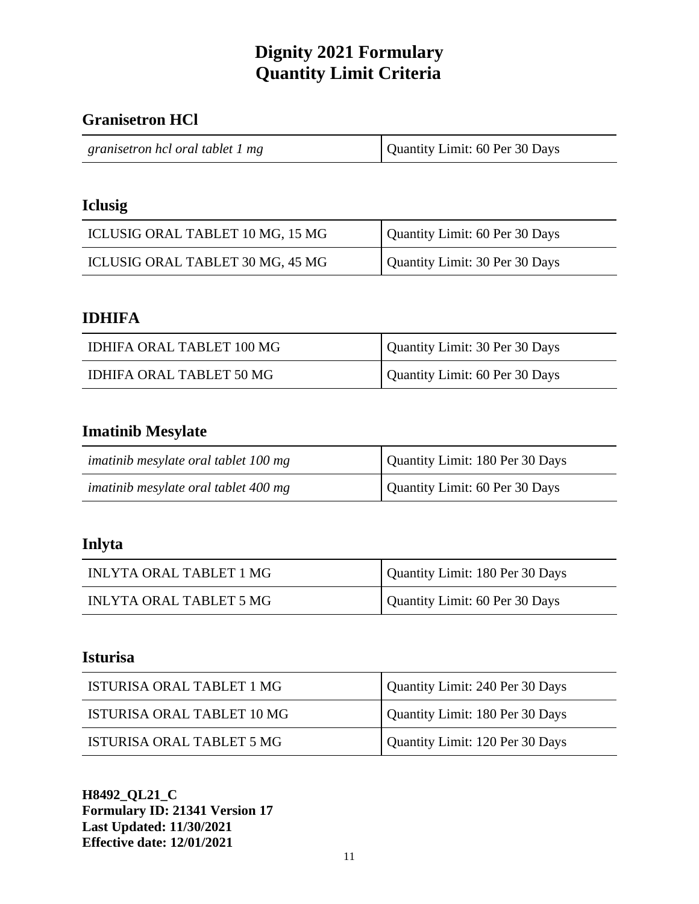#### **Granisetron HCl**

#### **Iclusig**

| ICLUSIG ORAL TABLET 10 MG, 15 MG | Quantity Limit: 60 Per 30 Days |
|----------------------------------|--------------------------------|
| ICLUSIG ORAL TABLET 30 MG, 45 MG | Quantity Limit: 30 Per 30 Days |

#### **IDHIFA**

| IDHIFA ORAL TABLET 100 MG | Quantity Limit: 30 Per 30 Days |
|---------------------------|--------------------------------|
| IDHIFA ORAL TABLET 50 MG  | Quantity Limit: 60 Per 30 Days |

# **Imatinib Mesylate**

| imatinib mesylate oral tablet 100 mg | Quantity Limit: 180 Per 30 Days |
|--------------------------------------|---------------------------------|
| imatinib mesylate oral tablet 400 mg | Quantity Limit: 60 Per 30 Days  |

#### **Inlyta**

| INLYTA ORAL TABLET 1 MG | Quantity Limit: 180 Per 30 Days |
|-------------------------|---------------------------------|
| INLYTA ORAL TABLET 5 MG | Quantity Limit: 60 Per 30 Days  |

## **Isturisa**

| ISTURISA ORAL TABLET 1 MG  | Quantity Limit: 240 Per 30 Days |
|----------------------------|---------------------------------|
| ISTURISA ORAL TABLET 10 MG | Quantity Limit: 180 Per 30 Days |
| ISTURISA ORAL TABLET 5 MG  | Quantity Limit: 120 Per 30 Days |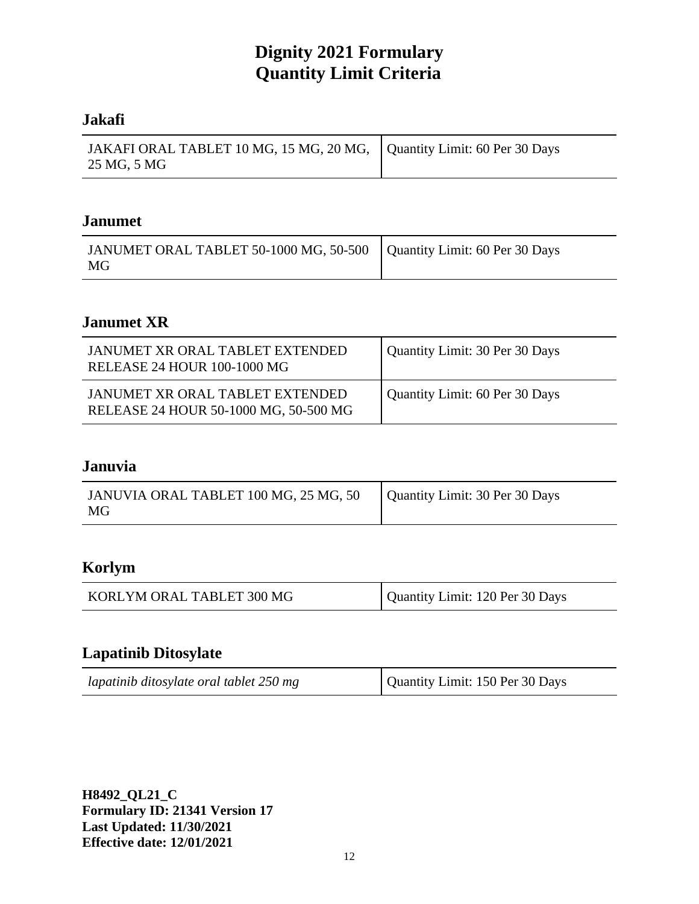#### **Jakafi**

| JAKAFI ORAL TABLET 10 MG, 15 MG, 20 MG,   Quantity Limit: 60 Per 30 Days |  |
|--------------------------------------------------------------------------|--|
| 25 MG, 5 MG                                                              |  |

#### **Janumet**

| JANUMET ORAL TABLET 50-1000 MG, 50-500   Quantity Limit: 60 Per 30 Days<br>MG |  |
|-------------------------------------------------------------------------------|--|
|-------------------------------------------------------------------------------|--|

## **Janumet XR**

| JANUMET XR ORAL TABLET EXTENDED<br>RELEASE 24 HOUR 100-1000 MG           | Quantity Limit: 30 Per 30 Days |
|--------------------------------------------------------------------------|--------------------------------|
| JANUMET XR ORAL TABLET EXTENDED<br>RELEASE 24 HOUR 50-1000 MG, 50-500 MG | Quantity Limit: 60 Per 30 Days |

#### **Januvia**

| JANUVIA ORAL TABLET 100 MG, 25 MG, 50<br>MG | Quantity Limit: 30 Per 30 Days |
|---------------------------------------------|--------------------------------|
|                                             |                                |

# **Korlym**

| KORLYM ORAL TABLET 300 MG | Quantity Limit: 120 Per 30 Days |
|---------------------------|---------------------------------|
|---------------------------|---------------------------------|

#### **Lapatinib Ditosylate**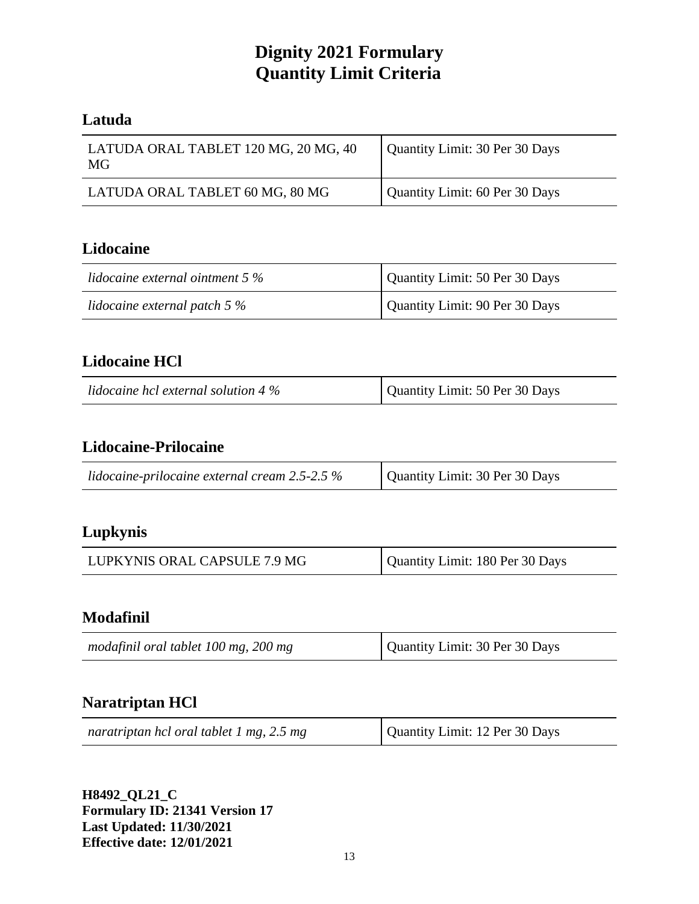#### **Latuda**

| LATUDA ORAL TABLET 120 MG, 20 MG, 40<br>MG | Quantity Limit: 30 Per 30 Days |
|--------------------------------------------|--------------------------------|
| LATUDA ORAL TABLET 60 MG, 80 MG            | Quantity Limit: 60 Per 30 Days |

## **Lidocaine**

| lidocaine external ointment $5\%$ | Quantity Limit: 50 Per 30 Days |
|-----------------------------------|--------------------------------|
| lidocaine external patch $5\%$    | Quantity Limit: 90 Per 30 Days |

## **Lidocaine HCl**

| lidocaine hcl external solution 4 $\%$ | Quantity Limit: 50 Per 30 Days |
|----------------------------------------|--------------------------------|
|----------------------------------------|--------------------------------|

## **Lidocaine-Prilocaine**

| lidocaine-prilocaine external cream $2.5$ - $2.5\%$ | Quantity Limit: 30 Per 30 Days |
|-----------------------------------------------------|--------------------------------|
|-----------------------------------------------------|--------------------------------|

## **Lupkynis**

| LUPKYNIS ORAL CAPSULE 7.9 MG | Quantity Limit: 180 Per 30 Days |
|------------------------------|---------------------------------|
|------------------------------|---------------------------------|

## **Modafinil**

| Quantity Limit: 30 Per 30 Days<br>modafinil oral tablet 100 mg, 200 mg |  |
|------------------------------------------------------------------------|--|
|------------------------------------------------------------------------|--|

## **Naratriptan HCl**

| naratriptan hcl oral tablet 1 mg, 2.5 mg | Quantity Limit: 12 Per 30 Days |
|------------------------------------------|--------------------------------|
|------------------------------------------|--------------------------------|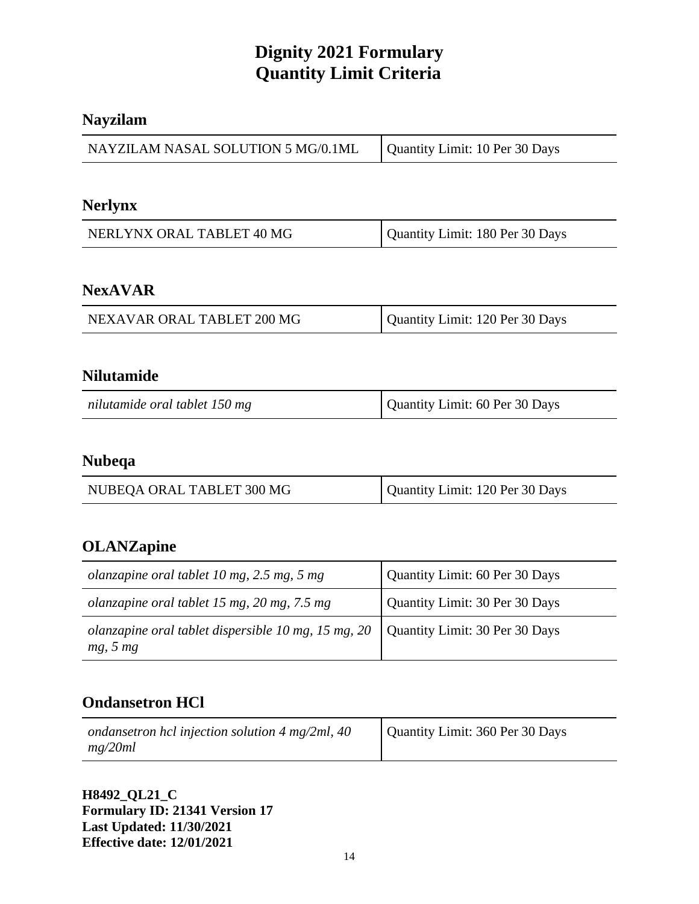#### **Nayzilam**

| NAYZILAM NASAL SOLUTION 5 MG/0.1ML | Quantity Limit: 10 Per 30 Days |
|------------------------------------|--------------------------------|
|------------------------------------|--------------------------------|

#### **Nerlynx**

| NERLYNX ORAL TABLET 40 MG | Quantity Limit: 180 Per 30 Days |
|---------------------------|---------------------------------|
|---------------------------|---------------------------------|

#### **NexAVAR**

| NEXAVAR ORAL TABLET 200 MG | Quantity Limit: 120 Per 30 Days |
|----------------------------|---------------------------------|
|----------------------------|---------------------------------|

#### **Nilutamide**

| nilutamide oral tablet 150 mg | Quantity Limit: 60 Per 30 Days |
|-------------------------------|--------------------------------|
|-------------------------------|--------------------------------|

# **Nubeqa**

| NUBEQA ORAL TABLET 300 MG | Quantity Limit: 120 Per 30 Days |
|---------------------------|---------------------------------|

## **OLANZapine**

| olanzapine oral tablet 10 mg, 2.5 mg, 5 mg                      | Quantity Limit: 60 Per 30 Days |
|-----------------------------------------------------------------|--------------------------------|
| olanzapine oral tablet 15 mg, 20 mg, 7.5 mg                     | Quantity Limit: 30 Per 30 Days |
| olanzapine oral tablet dispersible 10 mg, 15 mg, 20<br>mg, 5 mg | Quantity Limit: 30 Per 30 Days |

## **Ondansetron HCl**

| ondansetron hcl injection solution $4 \text{ mg/2ml}$ , $40$ | Quantity Limit: 360 Per 30 Days |
|--------------------------------------------------------------|---------------------------------|
| mg/20ml                                                      |                                 |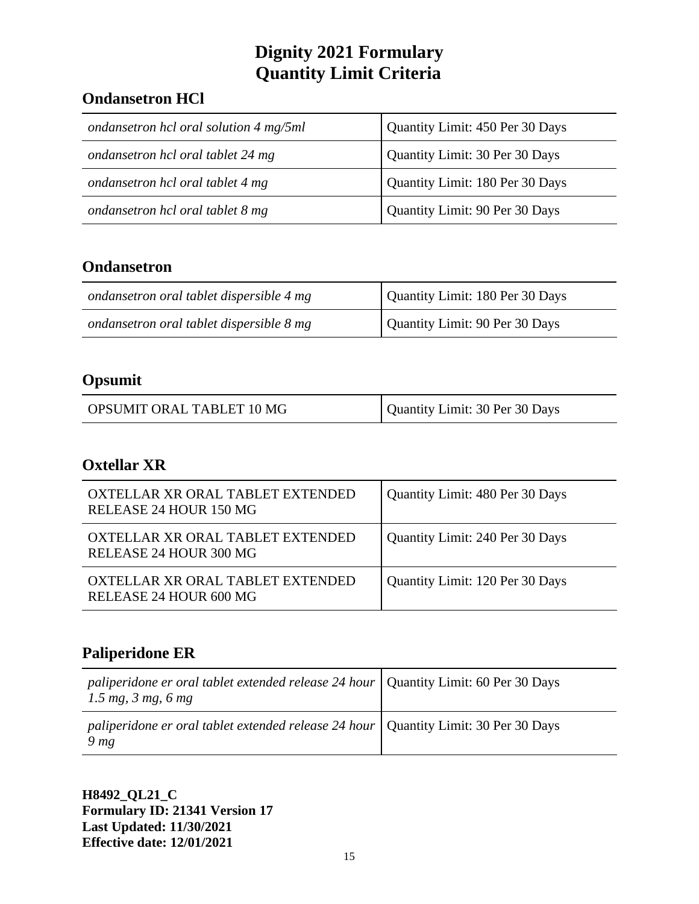# **Ondansetron HCl**

| ondansetron hcl oral solution 4 mg/5ml | Quantity Limit: 450 Per 30 Days |
|----------------------------------------|---------------------------------|
| ondansetron hcl oral tablet 24 mg      | Quantity Limit: 30 Per 30 Days  |
| ondansetron hcl oral tablet 4 mg       | Quantity Limit: 180 Per 30 Days |
| ondansetron hcl oral tablet 8 mg       | Quantity Limit: 90 Per 30 Days  |

# **Ondansetron**

| ondansetron oral tablet dispersible 4 mg | Quantity Limit: 180 Per 30 Days |
|------------------------------------------|---------------------------------|
| ondansetron oral tablet dispersible 8 mg | Quantity Limit: 90 Per 30 Days  |

# **Opsumit**

| OPSUMIT ORAL TABLET 10 MG | Quantity Limit: 30 Per 30 Days |
|---------------------------|--------------------------------|
|---------------------------|--------------------------------|

## **Oxtellar XR**

| OXTELLAR XR ORAL TABLET EXTENDED<br>RELEASE 24 HOUR 150 MG | Quantity Limit: 480 Per 30 Days |
|------------------------------------------------------------|---------------------------------|
| OXTELLAR XR ORAL TABLET EXTENDED<br>RELEASE 24 HOUR 300 MG | Quantity Limit: 240 Per 30 Days |
| OXTELLAR XR ORAL TABLET EXTENDED<br>RELEASE 24 HOUR 600 MG | Quantity Limit: 120 Per 30 Days |

# **Paliperidone ER**

| <i>paliperidone er oral tablet extended release 24 hour</i>   Quantity Limit: 60 Per 30 Days<br>$1.5 \, mg, \, 3 \, mg, \, 6 \, mg$ |  |
|-------------------------------------------------------------------------------------------------------------------------------------|--|
| <i>paliperidone er oral tablet extended release 24 hour</i>   Quantity Limit: 30 Per 30 Days<br>9 <sub>mg</sub>                     |  |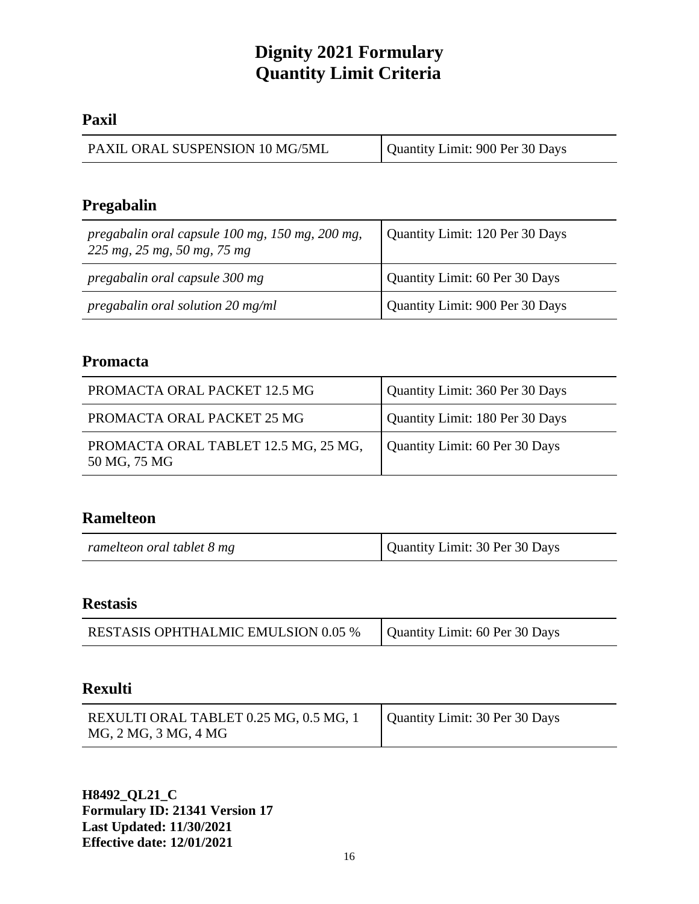#### **Paxil**

| PAXIL ORAL SUSPENSION 10 MG/5ML | Quantity Limit: 900 Per 30 Days |
|---------------------------------|---------------------------------|
|---------------------------------|---------------------------------|

# **Pregabalin**

| pregabalin oral capsule 100 mg, 150 mg, 200 mg,<br>225 mg, 25 mg, 50 mg, 75 mg | Quantity Limit: 120 Per 30 Days |
|--------------------------------------------------------------------------------|---------------------------------|
| pregabalin oral capsule 300 mg                                                 | Quantity Limit: 60 Per 30 Days  |
| pregabalin oral solution 20 mg/ml                                              | Quantity Limit: 900 Per 30 Days |

# **Promacta**

| PROMACTA ORAL PACKET 12.5 MG                         | Quantity Limit: 360 Per 30 Days |
|------------------------------------------------------|---------------------------------|
| PROMACTA ORAL PACKET 25 MG                           | Quantity Limit: 180 Per 30 Days |
| PROMACTA ORAL TABLET 12.5 MG, 25 MG,<br>50 MG, 75 MG | Quantity Limit: 60 Per 30 Days  |

## **Ramelteon**

| Quantity Limit: 30 Per 30 Days<br>ramelteon oral tablet 8 mg |  |
|--------------------------------------------------------------|--|
|--------------------------------------------------------------|--|

#### **Restasis**

| Quantity Limit: 60 Per 30 Days<br><b>RESTASIS OPHTHALMIC EMULSION 0.05 %</b> |
|------------------------------------------------------------------------------|
|------------------------------------------------------------------------------|

## **Rexulti**

| REXULTI ORAL TABLET 0.25 MG, 0.5 MG, 1 | Quantity Limit: 30 Per 30 Days |
|----------------------------------------|--------------------------------|
| MG, 2 MG, 3 MG, 4 MG                   |                                |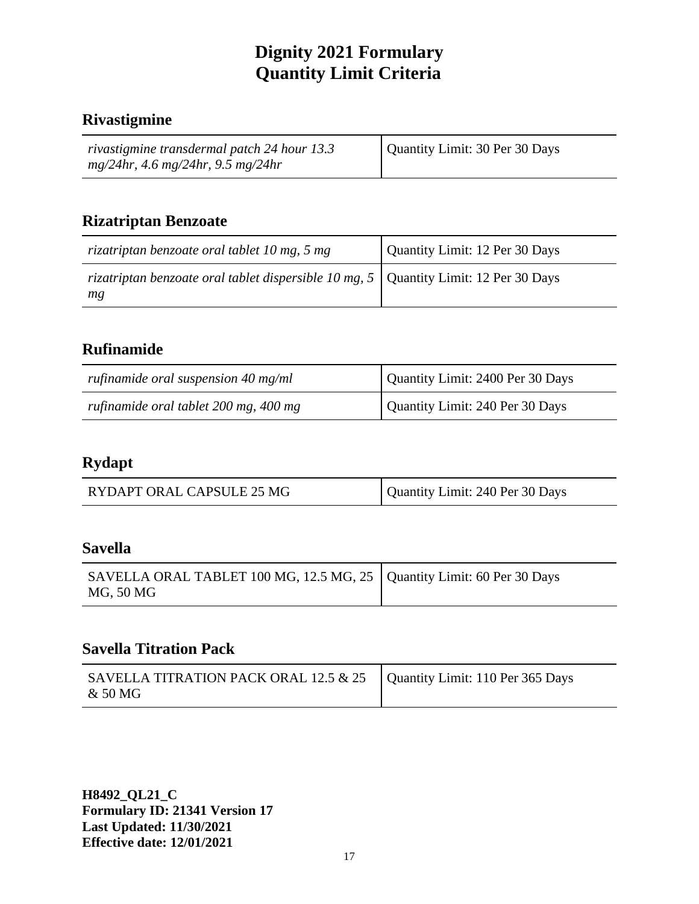#### **Rivastigmine**

| rivastigmine transdermal patch 24 hour 13.3 | Quantity Limit: 30 Per 30 Days |
|---------------------------------------------|--------------------------------|
| $mg/24hr$ , 4.6 mg/24hr, 9.5 mg/24hr        |                                |

#### **Rizatriptan Benzoate**

| rizatriptan benzoate oral tablet 10 mg, 5 mg                                                      | Quantity Limit: 12 Per 30 Days |
|---------------------------------------------------------------------------------------------------|--------------------------------|
| rizatriptan benzoate oral tablet dispersible 10 mg, $5 \mid$ Quantity Limit: 12 Per 30 Days<br>mg |                                |

## **Rufinamide**

| rufinamide oral suspension $40$ mg/ml | Quantity Limit: 2400 Per 30 Days |
|---------------------------------------|----------------------------------|
| rufinamide oral tablet 200 mg, 400 mg | Quantity Limit: 240 Per 30 Days  |

#### **Rydapt**

| Quantity Limit: 240 Per 30 Days<br>RYDAPT ORAL CAPSULE 25 MG |
|--------------------------------------------------------------|
|--------------------------------------------------------------|

#### **Savella**

| SAVELLA ORAL TABLET 100 MG, 12.5 MG, 25   Quantity Limit: 60 Per 30 Days<br>MG, 50 MG |  |
|---------------------------------------------------------------------------------------|--|
|---------------------------------------------------------------------------------------|--|

#### **Savella Titration Pack**

| SAVELLA TITRATION PACK ORAL 12.5 & 25   Quantity Limit: 110 Per 365 Days<br>& 50 MG |  |
|-------------------------------------------------------------------------------------|--|
|-------------------------------------------------------------------------------------|--|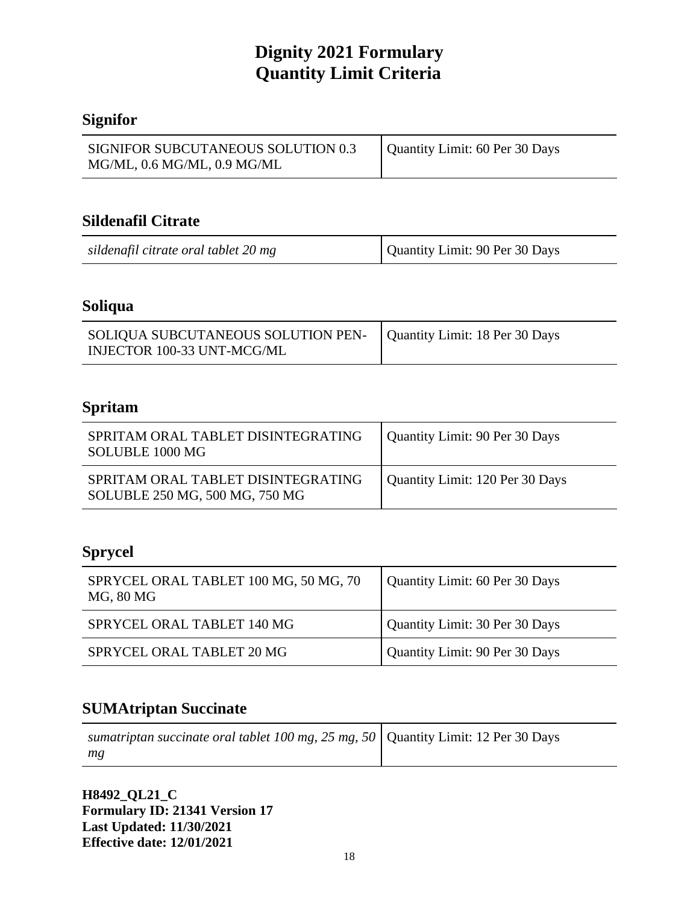# **Signifor**

| SIGNIFOR SUBCUTANEOUS SOLUTION 0.3<br>$MG/ML$ , 0.6 $MG/ML$ , 0.9 $MG/ML$ | Quantity Limit: 60 Per 30 Days |
|---------------------------------------------------------------------------|--------------------------------|

#### **Sildenafil Citrate**

| sildenafil citrate oral tablet 20 mg | Quantity Limit: 90 Per 30 Days |
|--------------------------------------|--------------------------------|
|--------------------------------------|--------------------------------|

## **Soliqua**

| SOLIQUA SUBCUTANEOUS SOLUTION PEN-   Quantity Limit: 18 Per 30 Days<br>INJECTOR 100-33 UNT-MCG/ML |  |
|---------------------------------------------------------------------------------------------------|--|

# **Spritam**

| SPRITAM ORAL TABLET DISINTEGRATING<br>SOLUBLE 1000 MG                | Quantity Limit: 90 Per 30 Days  |
|----------------------------------------------------------------------|---------------------------------|
| SPRITAM ORAL TABLET DISINTEGRATING<br>SOLUBLE 250 MG, 500 MG, 750 MG | Quantity Limit: 120 Per 30 Days |

# **Sprycel**

| SPRYCEL ORAL TABLET 100 MG, 50 MG, 70<br>MG, 80 MG | Quantity Limit: 60 Per 30 Days |
|----------------------------------------------------|--------------------------------|
| SPRYCEL ORAL TABLET 140 MG                         | Quantity Limit: 30 Per 30 Days |
| SPRYCEL ORAL TABLET 20 MG                          | Quantity Limit: 90 Per 30 Days |

## **SUMAtriptan Succinate**

| sumatriptan succinate oral tablet 100 mg, 25 mg, 50   Quantity Limit: 12 Per 30 Days |  |
|--------------------------------------------------------------------------------------|--|
| mg                                                                                   |  |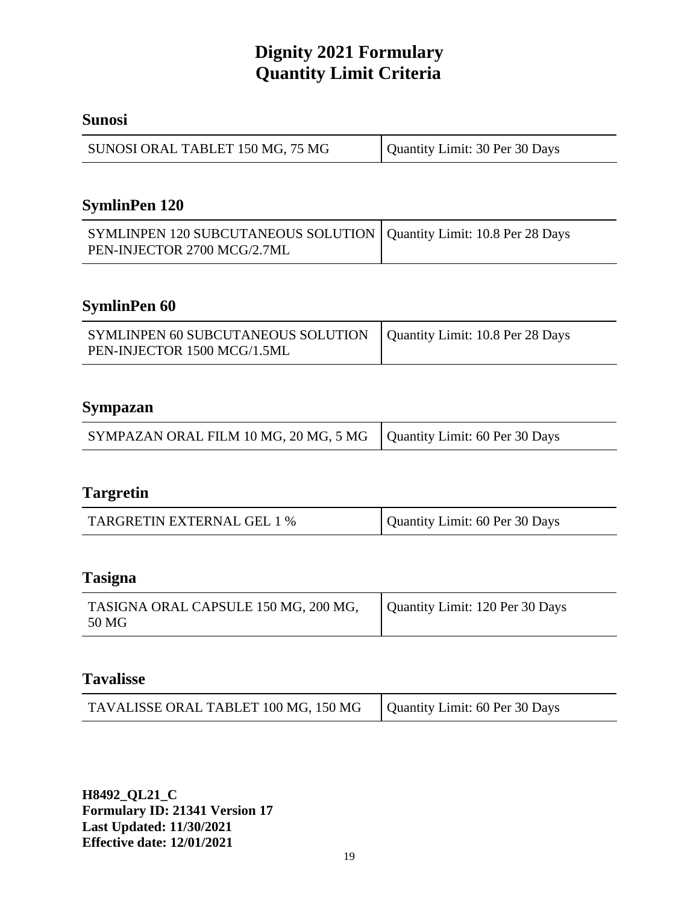#### **Sunosi**

| SUNOSI ORAL TABLET 150 MG, 75 MG | Quantity Limit: 30 Per 30 Days |
|----------------------------------|--------------------------------|
|----------------------------------|--------------------------------|

# **SymlinPen 120**

| SYMLINPEN 120 SUBCUTANEOUS SOLUTION   Quantity Limit: 10.8 Per 28 Days |  |
|------------------------------------------------------------------------|--|
| PEN-INJECTOR 2700 MCG/2.7ML                                            |  |

# **SymlinPen 60**

| SYMLINPEN 60 SUBCUTANEOUS SOLUTION   Quantity Limit: 10.8 Per 28 Days<br>PEN-INJECTOR 1500 MCG/1.5ML |  |
|------------------------------------------------------------------------------------------------------|--|
|                                                                                                      |  |

#### **Sympazan**

| SYMPAZAN ORAL FILM 10 MG, 20 MG, 5 MG   Quantity Limit: 60 Per 30 Days |  |
|------------------------------------------------------------------------|--|
|                                                                        |  |

#### **Targretin**

| TARGRETIN EXTERNAL GEL 1 % | Quantity Limit: 60 Per 30 Days |
|----------------------------|--------------------------------|
|----------------------------|--------------------------------|

#### **Tasigna**

| TASIGNA ORAL CAPSULE 150 MG, 200 MG, | Quantity Limit: 120 Per 30 Days |
|--------------------------------------|---------------------------------|
| 50 MG                                |                                 |

#### **Tavalisse**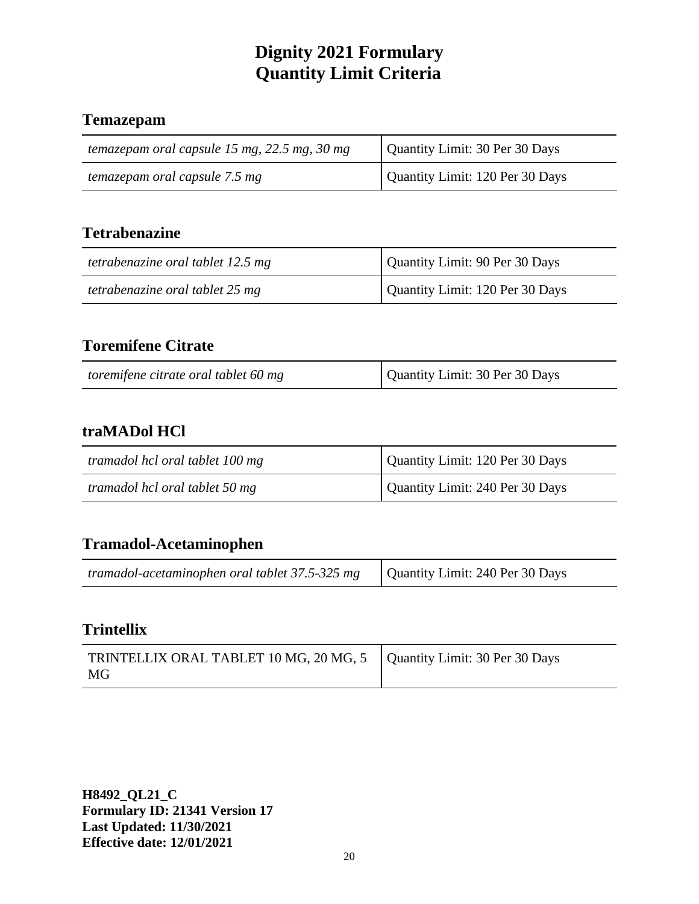#### **Temazepam**

| temazepam oral capsule 15 mg, 22.5 mg, 30 mg | Quantity Limit: 30 Per 30 Days  |
|----------------------------------------------|---------------------------------|
| temazepam oral capsule 7.5 mg                | Quantity Limit: 120 Per 30 Days |

# **Tetrabenazine**

| tetrabenazine oral tablet 12.5 mg | Quantity Limit: 90 Per 30 Days  |
|-----------------------------------|---------------------------------|
| tetrabenazine oral tablet 25 mg   | Quantity Limit: 120 Per 30 Days |

# **Toremifene Citrate**

| Quantity Limit: 30 Per 30 Days<br>toremifene citrate oral tablet 60 mg |  |
|------------------------------------------------------------------------|--|
|------------------------------------------------------------------------|--|

## **traMADol HCl**

| tramadol hcl oral tablet 100 mg | Quantity Limit: 120 Per 30 Days |
|---------------------------------|---------------------------------|
| tramadol hcl oral tablet 50 mg  | Quantity Limit: 240 Per 30 Days |

#### **Tramadol-Acetaminophen**

| <i>tramadol-acetaminophen oral tablet 37.5-325 mg</i> $\vert$ Quantity Limit: 240 Per 30 Days |  |
|-----------------------------------------------------------------------------------------------|--|
|                                                                                               |  |

## **Trintellix**

| TRINTELLIX ORAL TABLET 10 MG, 20 MG, 5   Quantity Limit: 30 Per 30 Days<br>MG |  |
|-------------------------------------------------------------------------------|--|
|-------------------------------------------------------------------------------|--|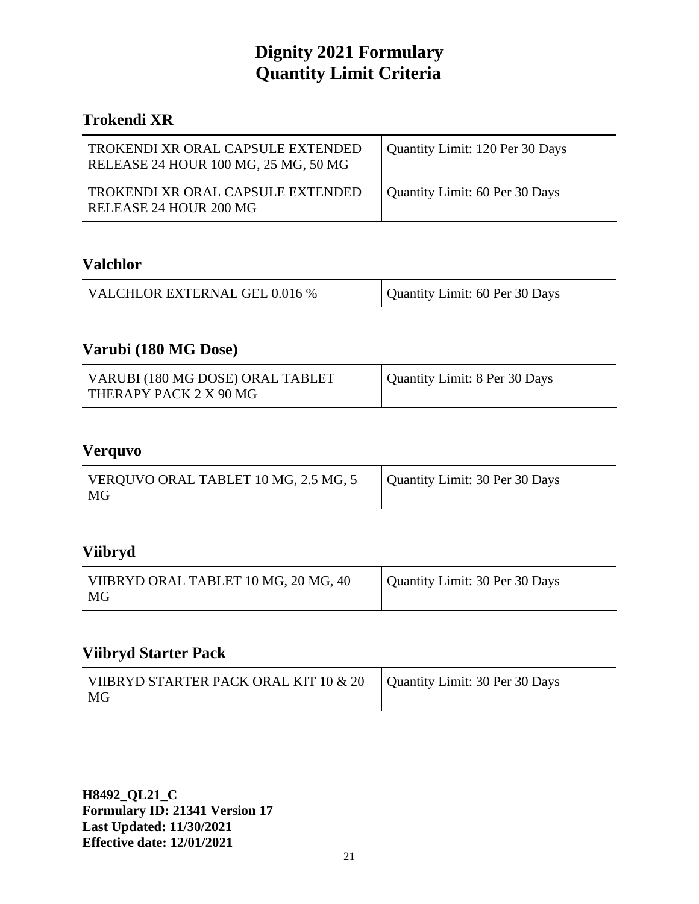#### **Trokendi XR**

| TROKENDI XR ORAL CAPSULE EXTENDED<br>RELEASE 24 HOUR 100 MG, 25 MG, 50 MG | Quantity Limit: 120 Per 30 Days |
|---------------------------------------------------------------------------|---------------------------------|
| TROKENDI XR ORAL CAPSULE EXTENDED<br>RELEASE 24 HOUR 200 MG               | Quantity Limit: 60 Per 30 Days  |

#### **Valchlor**

| VALCHLOR EXTERNAL GEL 0.016 % | Quantity Limit: 60 Per 30 Days |
|-------------------------------|--------------------------------|
|-------------------------------|--------------------------------|

# **Varubi (180 MG Dose)**

| VARUBI (180 MG DOSE) ORAL TABLET<br>THERAPY PACK 2 X 90 MG | Quantity Limit: 8 Per 30 Days |
|------------------------------------------------------------|-------------------------------|
|------------------------------------------------------------|-------------------------------|

#### **Verquvo**

| VERQUVO ORAL TABLET 10 MG, 2.5 MG, 5 | Quantity Limit: 30 Per 30 Days |
|--------------------------------------|--------------------------------|
| MG                                   |                                |

## **Viibryd**

| VIIBRYD ORAL TABLET 10 MG, 20 MG, 40<br>MG | Quantity Limit: 30 Per 30 Days |
|--------------------------------------------|--------------------------------|
|                                            |                                |

#### **Viibryd Starter Pack**

| VIIBRYD STARTER PACK ORAL KIT 10 $\&$ 20 $\big $ Quantity Limit: 30 Per 30 Days |  |
|---------------------------------------------------------------------------------|--|
| MG                                                                              |  |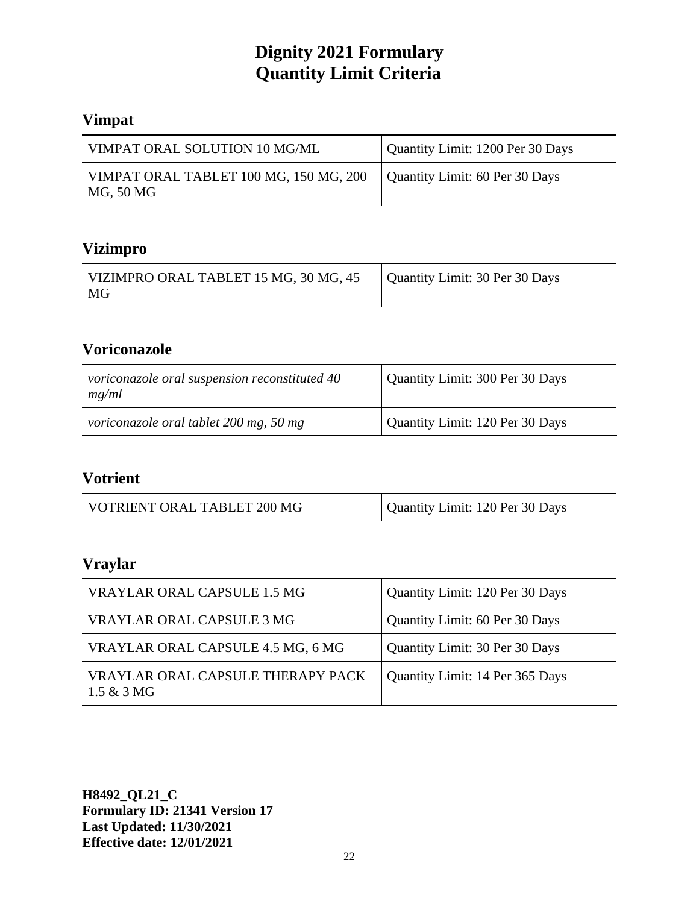# **Vimpat**

| VIMPAT ORAL SOLUTION 10 MG/ML                                                        | Quantity Limit: 1200 Per 30 Days |
|--------------------------------------------------------------------------------------|----------------------------------|
| VIMPAT ORAL TABLET 100 MG, 150 MG, 200   Quantity Limit: 60 Per 30 Days<br>MG, 50 MG |                                  |

# **Vizimpro**

| VIZIMPRO ORAL TABLET 15 MG, 30 MG, 45<br>MG | Quantity Limit: 30 Per 30 Days |
|---------------------------------------------|--------------------------------|
|---------------------------------------------|--------------------------------|

# **Voriconazole**

| voriconazole oral suspension reconstituted 40<br>mg/ml | Quantity Limit: 300 Per 30 Days |
|--------------------------------------------------------|---------------------------------|
| voriconazole oral tablet 200 mg, 50 mg                 | Quantity Limit: 120 Per 30 Days |

#### **Votrient**

| Quantity Limit: 120 Per 30 Days<br>VOTRIENT ORAL TABLET 200 MG |  |  |
|----------------------------------------------------------------|--|--|
|----------------------------------------------------------------|--|--|

# **Vraylar**

| VRAYLAR ORAL CAPSULE 1.5 MG                               | Quantity Limit: 120 Per 30 Days |
|-----------------------------------------------------------|---------------------------------|
| VRAYLAR ORAL CAPSULE 3 MG                                 | Quantity Limit: 60 Per 30 Days  |
| VRAYLAR ORAL CAPSULE 4.5 MG, 6 MG                         | Quantity Limit: 30 Per 30 Days  |
| VRAYLAR ORAL CAPSULE THERAPY PACK<br>$1.5 & 3 \text{ MG}$ | Quantity Limit: 14 Per 365 Days |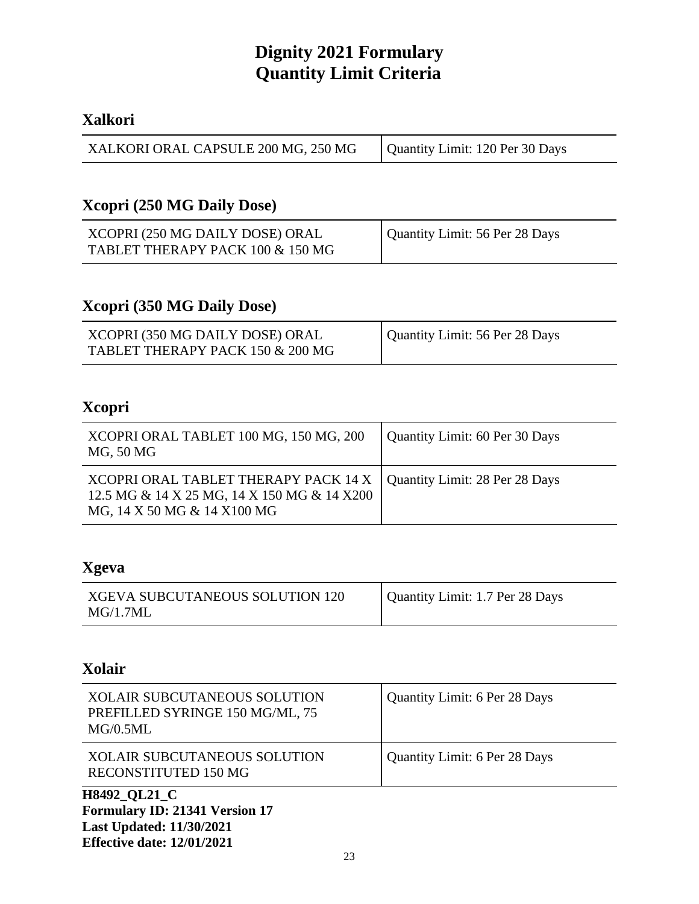#### **Xalkori**

| XALKORI ORAL CAPSULE 200 MG, 250 MG | Quantity Limit: 120 Per 30 Days |
|-------------------------------------|---------------------------------|
|-------------------------------------|---------------------------------|

# **Xcopri (250 MG Daily Dose)**

| XCOPRI (250 MG DAILY DOSE) ORAL  | Quantity Limit: 56 Per 28 Days |
|----------------------------------|--------------------------------|
| TABLET THERAPY PACK 100 & 150 MG |                                |

#### **Xcopri (350 MG Daily Dose)**

| XCOPRI (350 MG DAILY DOSE) ORAL  | Quantity Limit: 56 Per 28 Days |
|----------------------------------|--------------------------------|
| TABLET THERAPY PACK 150 & 200 MG |                                |

## **Xcopri**

| XCOPRI ORAL TABLET 100 MG, 150 MG, 200<br>MG, 50 MG                                                                                                 | Quantity Limit: 60 Per 30 Days |
|-----------------------------------------------------------------------------------------------------------------------------------------------------|--------------------------------|
| XCOPRI ORAL TABLET THERAPY PACK 14 X   Quantity Limit: 28 Per 28 Days<br>12.5 MG & 14 X 25 MG, 14 X 150 MG & 14 X200<br>MG, 14 X 50 MG & 14 X100 MG |                                |

#### **Xgeva**

| <b>XGEVA SUBCUTANEOUS SOLUTION 120</b> | Quantity Limit: 1.7 Per 28 Days |
|----------------------------------------|---------------------------------|
| MG/1.7ML                               |                                 |

# **Xolair**

| XOLAIR SUBCUTANEOUS SOLUTION<br>PREFILLED SYRINGE 150 MG/ML, 75<br>MG/0.5ML | Quantity Limit: 6 Per 28 Days |
|-----------------------------------------------------------------------------|-------------------------------|
| <b>XOLAIR SUBCUTANEOUS SOLUTION</b><br>RECONSTITUTED 150 MG                 | Quantity Limit: 6 Per 28 Days |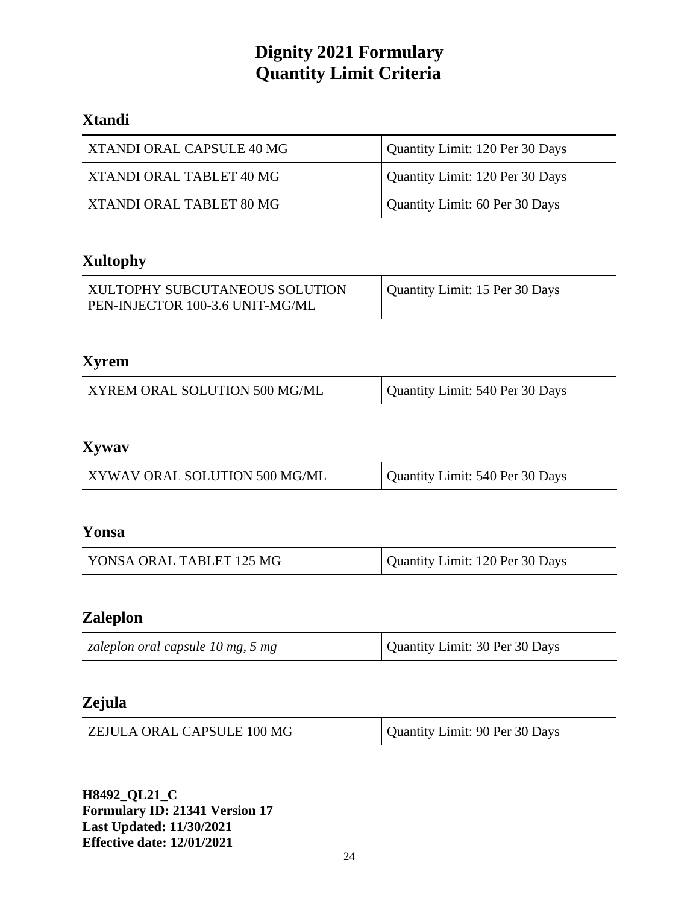# **Xtandi**

| XTANDI ORAL CAPSULE 40 MG | Quantity Limit: 120 Per 30 Days |
|---------------------------|---------------------------------|
| XTANDI ORAL TABLET 40 MG  | Quantity Limit: 120 Per 30 Days |
| XTANDI ORAL TABLET 80 MG  | Quantity Limit: 60 Per 30 Days  |

# **Xultophy**

| XULTOPHY SUBCUTANEOUS SOLUTION  | Quantity Limit: 15 Per 30 Days |
|---------------------------------|--------------------------------|
| PEN-INJECTOR 100-3.6 UNIT-MG/ML |                                |

# **Xyrem**

| Quantity Limit: 540 Per 30 Days<br>XYREM ORAL SOLUTION 500 MG/ML |
|------------------------------------------------------------------|
|------------------------------------------------------------------|

## **Xywav**

| XYWAV ORAL SOLUTION 500 MG/ML | Quantity Limit: 540 Per 30 Days |
|-------------------------------|---------------------------------|
|-------------------------------|---------------------------------|

## **Yonsa**

| YONSA ORAL TABLET 125 MG | Quantity Limit: 120 Per 30 Days |
|--------------------------|---------------------------------|
|--------------------------|---------------------------------|

# **Zaleplon**

| Quantity Limit: 30 Per 30 Days<br>zaleplon oral capsule 10 mg, 5 mg |  |  |
|---------------------------------------------------------------------|--|--|
|---------------------------------------------------------------------|--|--|

## **Zejula**

| ZEJULA ORAL CAPSULE 100 MG | Quantity Limit: 90 Per 30 Days |
|----------------------------|--------------------------------|
|----------------------------|--------------------------------|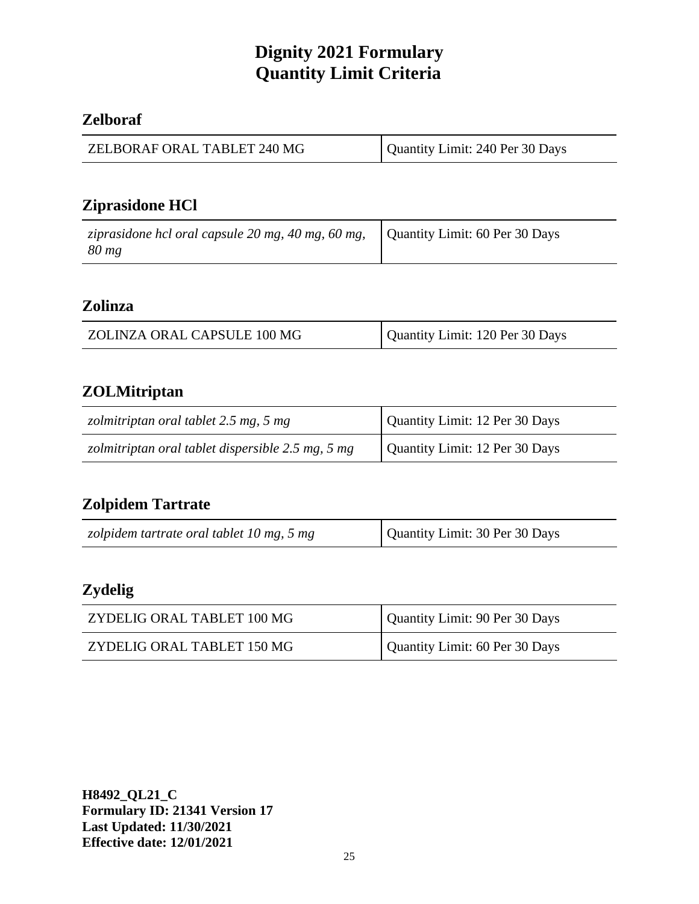#### **Zelboraf**

| ZELBORAF ORAL TABLET 240 MG | Quantity Limit: 240 Per 30 Days |
|-----------------------------|---------------------------------|
|-----------------------------|---------------------------------|

# **Ziprasidone HCl**

| ziprasidone hcl oral capsule 20 mg, 40 mg, 60 mg, $\vert$ Quantity Limit: 60 Per 30 Days |  |
|------------------------------------------------------------------------------------------|--|
| $80 \, mg$                                                                               |  |

#### **Zolinza**

| ZOLINZA ORAL CAPSULE 100 MG | Quantity Limit: 120 Per 30 Days |
|-----------------------------|---------------------------------|
|-----------------------------|---------------------------------|

## **ZOLMitriptan**

| zolmitriptan oral tablet 2.5 mg, 5 mg             | Quantity Limit: 12 Per 30 Days |
|---------------------------------------------------|--------------------------------|
| zolmitriptan oral tablet dispersible 2.5 mg, 5 mg | Quantity Limit: 12 Per 30 Days |

# **Zolpidem Tartrate**

| zolpidem tartrate oral tablet 10 mg, 5 mg | Quantity Limit: 30 Per 30 Days |
|-------------------------------------------|--------------------------------|
|-------------------------------------------|--------------------------------|

# **Zydelig**

| ZYDELIG ORAL TABLET 100 MG | Quantity Limit: 90 Per 30 Days |
|----------------------------|--------------------------------|
| ZYDELIG ORAL TABLET 150 MG | Quantity Limit: 60 Per 30 Days |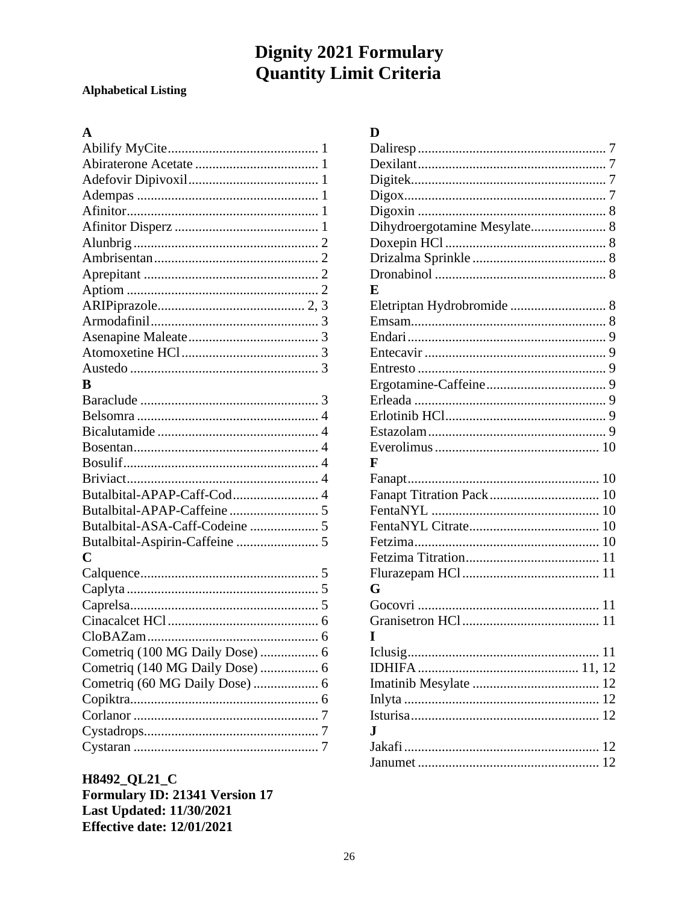#### **Alphabetical Listing**

#### $\overline{\mathbf{A}}$

| B                               |  |
|---------------------------------|--|
|                                 |  |
|                                 |  |
|                                 |  |
|                                 |  |
|                                 |  |
|                                 |  |
|                                 |  |
|                                 |  |
|                                 |  |
|                                 |  |
| C                               |  |
|                                 |  |
|                                 |  |
|                                 |  |
|                                 |  |
|                                 |  |
| Cometriq (100 MG Daily Dose)  6 |  |
| Cometriq (140 MG Daily Dose)  6 |  |
|                                 |  |
|                                 |  |
|                                 |  |
|                                 |  |
|                                 |  |

H8492\_QL21\_C Formulary ID: 21341 Version 17 **Last Updated: 11/30/2021 Effective date: 12/01/2021** 

#### $\mathbf{D}$

| Dihydroergotamine Mesylate 8 |  |
|------------------------------|--|
|                              |  |
|                              |  |
|                              |  |
| E                            |  |
|                              |  |
|                              |  |
|                              |  |
|                              |  |
|                              |  |
|                              |  |
|                              |  |
|                              |  |
|                              |  |
|                              |  |
| F                            |  |
|                              |  |
|                              |  |
|                              |  |
|                              |  |
|                              |  |
|                              |  |
|                              |  |
| G                            |  |
|                              |  |
|                              |  |
| I                            |  |
|                              |  |
|                              |  |
|                              |  |
|                              |  |
|                              |  |
| J.                           |  |
|                              |  |
|                              |  |
|                              |  |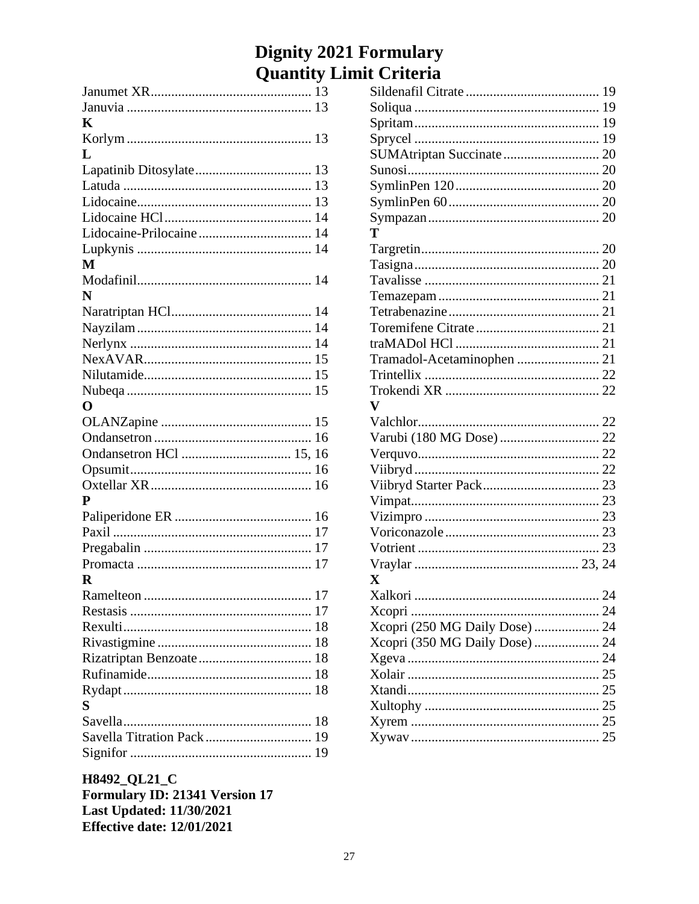| K                          |    |
|----------------------------|----|
|                            |    |
| L                          |    |
|                            |    |
|                            |    |
|                            |    |
|                            |    |
|                            |    |
|                            |    |
| M                          |    |
|                            |    |
| N                          |    |
|                            |    |
|                            |    |
|                            |    |
|                            |    |
|                            |    |
|                            |    |
| O                          |    |
|                            |    |
|                            |    |
| Ondansetron HCl  15, 16    |    |
|                            |    |
|                            |    |
| P                          |    |
|                            |    |
|                            |    |
|                            |    |
|                            |    |
| R                          |    |
| Ramelteon                  | 17 |
|                            |    |
|                            |    |
|                            |    |
|                            |    |
|                            |    |
|                            |    |
| S                          |    |
|                            |    |
| Savella Titration Pack  19 |    |
|                            |    |
|                            |    |

| SUMAtriptan Succinate  20      |  |
|--------------------------------|--|
|                                |  |
|                                |  |
|                                |  |
|                                |  |
| т                              |  |
|                                |  |
|                                |  |
|                                |  |
|                                |  |
|                                |  |
|                                |  |
|                                |  |
|                                |  |
|                                |  |
|                                |  |
| $\mathbf{V}$                   |  |
|                                |  |
| Varubi (180 MG Dose)  22       |  |
|                                |  |
|                                |  |
|                                |  |
|                                |  |
|                                |  |
|                                |  |
|                                |  |
|                                |  |
| $\mathbf X$                    |  |
|                                |  |
|                                |  |
| Xcopri (250 MG Daily Dose)  24 |  |
| Xcopri (350 MG Daily Dose)  24 |  |
|                                |  |
|                                |  |
|                                |  |
|                                |  |
|                                |  |
|                                |  |
|                                |  |